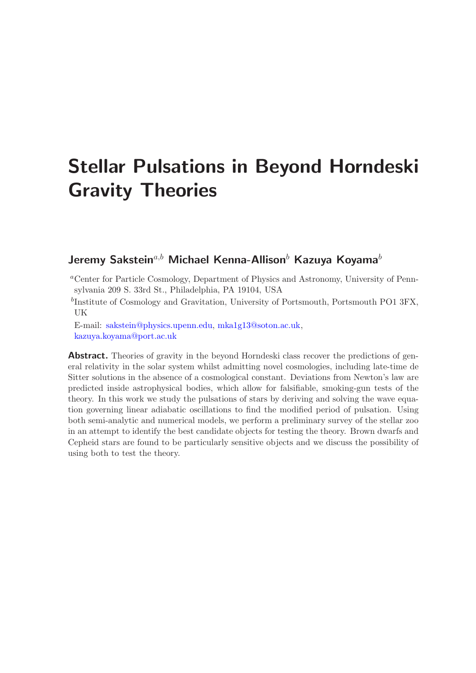# Stellar Pulsations in Beyond Horndeski Gravity Theories

# Jeremy Sakstein<sup>a,b</sup> Michael Kenna-Allison<sup>b</sup> Kazuya Koyama<sup>b</sup>

<sup>a</sup>Center for Particle Cosmology, Department of Physics and Astronomy, University of Pennsylvania 209 S. 33rd St., Philadelphia, PA 19104, USA

<sup>b</sup>Institute of Cosmology and Gravitation, University of Portsmouth, Portsmouth PO1 3FX, UK

E-mail: [sakstein@physics.upenn.edu,](mailto:sakstein@physics.upenn.edu) [mka1g13@soton.ac.uk,](mailto:mka1g13@soton.ac.uk) [kazuya.koyama@port.ac.uk](mailto:kazuya.koyama@port.ac.uk)

**Abstract.** Theories of gravity in the beyond Horndeski class recover the predictions of general relativity in the solar system whilst admitting novel cosmologies, including late-time de Sitter solutions in the absence of a cosmological constant. Deviations from Newton's law are predicted inside astrophysical bodies, which allow for falsifiable, smoking-gun tests of the theory. In this work we study the pulsations of stars by deriving and solving the wave equation governing linear adiabatic oscillations to find the modified period of pulsation. Using both semi-analytic and numerical models, we perform a preliminary survey of the stellar zoo in an attempt to identify the best candidate objects for testing the theory. Brown dwarfs and Cepheid stars are found to be particularly sensitive objects and we discuss the possibility of using both to test the theory.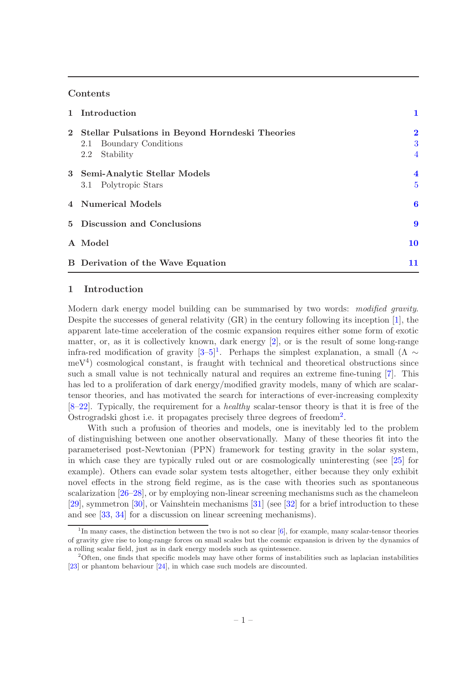#### Contents

|              | 1 Introduction                                                                                 | 1                                              |
|--------------|------------------------------------------------------------------------------------------------|------------------------------------------------|
| $\mathbf{2}$ | Stellar Pulsations in Beyond Horndeski Theories<br>2.1 Boundary Conditions<br>Stability<br>2.2 | $\overline{\mathbf{2}}$<br>3<br>$\overline{4}$ |
|              | 3 Semi-Analytic Stellar Models<br>3.1 Polytropic Stars                                         | $\overline{\mathbf{4}}$<br>$\overline{5}$      |
|              | 4 Numerical Models                                                                             | $\boldsymbol{6}$                               |
|              | 5 Discussion and Conclusions                                                                   |                                                |
|              | A Model                                                                                        | 10                                             |
|              | <b>B</b> Derivation of the Wave Equation                                                       | 11                                             |

### <span id="page-1-0"></span>1 Introduction

Modern dark energy model building can be summarised by two words: modified gravity. Despite the successes of general relativity (GR) in the century following its inception [\[1\]](#page-14-0), the apparent late-time acceleration of the cosmic expansion requires either some form of exotic matter, or, as it is collectively known, dark energy [\[2](#page-14-1)], or is the result of some long-range infra-red modification of gravity  $[3-5]^1$  $[3-5]^1$ . Perhaps the simplest explanation, a small  $(\Lambda \sim$ meV<sup>4</sup> ) cosmological constant, is fraught with technical and theoretical obstructions since such a small value is not technically natural and requires an extreme fine-tuning [\[7](#page-14-4)]. This has led to a proliferation of dark energy/modified gravity models, many of which are scalartensor theories, and has motivated the search for interactions of ever-increasing complexity  $[8-22]$  $[8-22]$ . Typically, the requirement for a *healthy* scalar-tensor theory is that it is free of the Ostrogradski ghost i.e. it propagates precisely three degrees of freedom<sup>[2](#page-1-2)</sup>.

With such a profusion of theories and models, one is inevitably led to the problem of distinguishing between one another observationally. Many of these theories fit into the parameterised post-Newtonian (PPN) framework for testing gravity in the solar system, in which case they are typically ruled out or are cosmologically uninteresting (see [\[25\]](#page-15-1) for example). Others can evade solar system tests altogether, either because they only exhibit novel effects in the strong field regime, as is the case with theories such as spontaneous scalarization [\[26](#page-15-2)[–28](#page-15-3)], or by employing non-linear screening mechanisms such as the chameleon [\[29\]](#page-15-4), symmetron [\[30](#page-15-5)], or Vainshtein mechanisms [\[31](#page-15-6)] (see [\[32\]](#page-15-7) for a brief introduction to these and see [\[33,](#page-15-8) [34](#page-15-9)] for a discussion on linear screening mechanisms).

<span id="page-1-1"></span><sup>&</sup>lt;sup>1</sup>In many cases, the distinction between the two is not so clear [\[6](#page-14-6)], for example, many scalar-tensor theories of gravity give rise to long-range forces on small scales but the cosmic expansion is driven by the dynamics of a rolling scalar field, just as in dark energy models such as quintessence.

<span id="page-1-2"></span><sup>2</sup>Often, one finds that specific models may have other forms of instabilities such as laplacian instabilities [\[23\]](#page-15-10) or phantom behaviour [\[24\]](#page-15-11), in which case such models are discounted.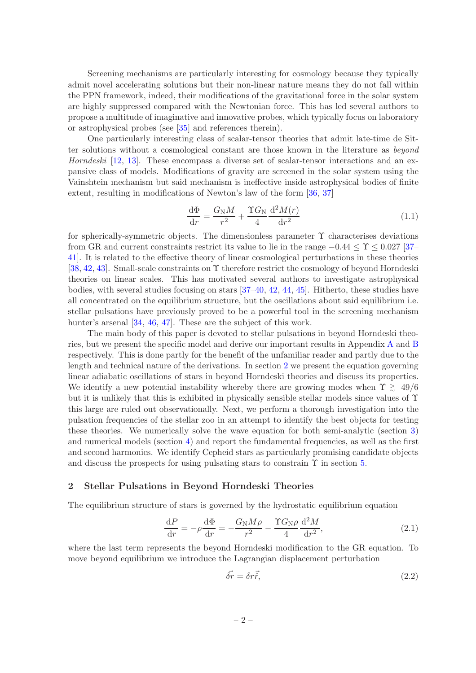Screening mechanisms are particularly interesting for cosmology because they typically admit novel accelerating solutions but their non-linear nature means they do not fall within the PPN framework, indeed, their modifications of the gravitational force in the solar system are highly suppressed compared with the Newtonian force. This has led several authors to propose a multitude of imaginative and innovative probes, which typically focus on laboratory or astrophysical probes (see [\[35](#page-15-12)] and references therein).

One particularly interesting class of scalar-tensor theories that admit late-time de Sitter solutions without a cosmological constant are those known in the literature as beyond Horndeski [\[12](#page-14-7), [13](#page-14-8)]. These encompass a diverse set of scalar-tensor interactions and an expansive class of models. Modifications of gravity are screened in the solar system using the Vainshtein mechanism but said mechanism is ineffective inside astrophysical bodies of finite extent, resulting in modifications of Newton's law of the form [\[36,](#page-15-13) [37](#page-15-14)]

<span id="page-2-2"></span>
$$
\frac{\mathrm{d}\Phi}{\mathrm{d}r} = \frac{G_{\mathrm{N}}M}{r^2} + \frac{\Upsilon G_{\mathrm{N}}}{4} \frac{\mathrm{d}^2 M(r)}{\mathrm{d}r^2} \tag{1.1}
$$

for spherically-symmetric objects. The dimensionless parameter  $\Upsilon$  characterises deviations from GR and current constraints restrict its value to lie in the range  $-0.44 \leq \Upsilon \leq 0.027$  [\[37–](#page-15-14) [41\]](#page-15-15). It is related to the effective theory of linear cosmological perturbations in these theories [\[38,](#page-15-16) [42](#page-15-17), [43\]](#page-15-18). Small-scale constraints on  $\Upsilon$  therefore restrict the cosmology of beyond Horndeski theories on linear scales. This has motivated several authors to investigate astrophysical bodies, with several studies focusing on stars [\[37](#page-15-14)[–40,](#page-15-19) [42,](#page-15-17) [44,](#page-15-20) [45](#page-15-21)]. Hitherto, these studies have all concentrated on the equilibrium structure, but the oscillations about said equilibrium i.e. stellar pulsations have previously proved to be a powerful tool in the screening mechanism hunter's arsenal [\[34,](#page-15-9) [46](#page-16-0), [47](#page-16-1)]. These are the subject of this work.

The main body of this paper is devoted to stellar pulsations in beyond Horndeski theories, but we present the specific model and derive our important results in Appendix [A](#page-10-0) and [B](#page-11-0) respectively. This is done partly for the benefit of the unfamiliar reader and partly due to the length and technical nature of the derivations. In section [2](#page-2-0) we present the equation governing linear adiabatic oscillations of stars in beyond Horndeski theories and discuss its properties. We identify a new potential instability whereby there are growing modes when  $\Upsilon \gtrsim 49/6$ but it is unlikely that this is exhibited in physically sensible stellar models since values of  $\Upsilon$ this large are ruled out observationally. Next, we perform a thorough investigation into the pulsation frequencies of the stellar zoo in an attempt to identify the best objects for testing these theories. We numerically solve the wave equation for both semi-analytic (section [3\)](#page-4-1) and numerical models (section [4\)](#page-6-0) and report the fundamental frequencies, as well as the first and second harmonics. We identify Cepheid stars as particularly promising candidate objects and discuss the prospects for using pulsating stars to constrain  $\Upsilon$  in section [5.](#page-9-0)

#### <span id="page-2-0"></span>2 Stellar Pulsations in Beyond Horndeski Theories

The equilibrium structure of stars is governed by the hydrostatic equilibrium equation

<span id="page-2-1"></span>
$$
\frac{\mathrm{d}P}{\mathrm{d}r} = -\rho \frac{\mathrm{d}\Phi}{\mathrm{d}r} = -\frac{G_{\rm N}M\rho}{r^2} - \frac{\Upsilon G_{\rm N}\rho}{4} \frac{\mathrm{d}^2M}{\mathrm{d}r^2},\tag{2.1}
$$

where the last term represents the beyond Horndeski modification to the GR equation. To move beyond equilibrium we introduce the Lagrangian displacement perturbation

$$
\vec{\delta r} = \delta r \vec{\hat{r}},\tag{2.2}
$$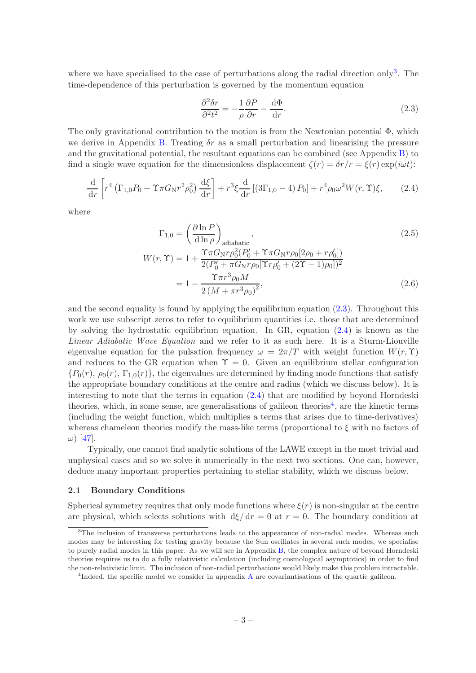where we have specialised to the case of perturbations along the radial direction only<sup>[3](#page-3-1)</sup>. The time-dependence of this perturbation is governed by the momentum equation

<span id="page-3-2"></span>
$$
\frac{\partial^2 \delta r}{\partial^2 t^2} = -\frac{1}{\rho} \frac{\partial P}{\partial r} - \frac{\mathrm{d}\Phi}{\mathrm{d}r}.
$$
\n(2.3)

The only gravitational contribution to the motion is from the Newtonian potential  $\Phi$ , which we derive in Appendix [B.](#page-11-0) Treating  $\delta r$  as a small perturbation and linearising the pressure and the gravitational potential, the resultant equations can be combined (see Appendix  $B$ ) to find a single wave equation for the dimensionless displacement  $\zeta(r) = \delta r/r = \xi(r) \exp(i\omega t)$ :

<span id="page-3-3"></span>
$$
\frac{\mathrm{d}}{\mathrm{d}r} \left[ r^4 \left( \Gamma_{1,0} P_0 + \Upsilon \pi G_N r^2 \rho_0^2 \right) \frac{\mathrm{d}\xi}{\mathrm{d}r} \right] + r^3 \xi \frac{\mathrm{d}}{\mathrm{d}r} \left[ \left( 3 \Gamma_{1,0} - 4 \right) P_0 \right] + r^4 \rho_0 \omega^2 W(r,\Upsilon) \xi, \tag{2.4}
$$

where

<span id="page-3-5"></span>
$$
\Gamma_{1,0} = \left(\frac{\partial \ln P}{\partial \ln \rho}\right)_{\text{adiabatic}},
$$
\n
$$
W(r,\Upsilon) = 1 + \frac{\Upsilon \pi G_N r \rho_0^2 (P_0' + \Upsilon \pi G_N r \rho_0 [2\rho_0 + r \rho_0'])}{2(P_0' + \pi G_N r \rho_0 [\Upsilon r \rho_0' + (2\Upsilon - 1)\rho_0])^2}
$$
\n
$$
= 1 - \frac{\Upsilon \pi r^3 \rho_0 M}{2 (M + \pi r^3 \rho_0)^2},
$$
\n(2.6)

and the second equality is found by applying the equilibrium equation [\(2.3\)](#page-3-2). Throughout this work we use subscript zeros to refer to equilibrium quantities i.e. those that are determined by solving the hydrostatic equilibrium equation. In GR, equation [\(2.4\)](#page-3-3) is known as the Linear Adiabatic Wave Equation and we refer to it as such here. It is a Sturm-Liouville eigenvalue equation for the pulsation frequency  $\omega = 2\pi/T$  with weight function  $W(r, \Upsilon)$ and reduces to the GR equation when  $\Upsilon = 0$ . Given an equilibrium stellar configuration  ${P_0(r), \rho_0(r), \Gamma_{1,0}(r)}$ , the eigenvalues are determined by finding mode functions that satisfy the appropriate boundary conditions at the centre and radius (which we discuss below). It is interesting to note that the terms in equation [\(2.4\)](#page-3-3) that are modified by beyond Horndeski theories, which, in some sense, are generalisations of galileon theories<sup>[4](#page-3-4)</sup>, are the kinetic terms (including the weight function, which multiplies a terms that arises due to time-derivatives) whereas chameleon theories modify the mass-like terms (proportional to  $\xi$  with no factors of  $\omega$ ) [\[47](#page-16-1)].

Typically, one cannot find analytic solutions of the LAWE except in the most trivial and unphysical cases and so we solve it numerically in the next two sections. One can, however, deduce many important properties pertaining to stellar stability, which we discuss below.

#### <span id="page-3-0"></span>2.1 Boundary Conditions

Spherical symmetry requires that only mode functions where  $\xi(r)$  is non-singular at the centre are physical, which selects solutions with  $d\xi/dr = 0$  at  $r = 0$ . The boundary condition at

<span id="page-3-1"></span><sup>&</sup>lt;sup>3</sup>The inclusion of transverse perturbations leads to the appearance of non-radial modes. Whereas such modes may be interesting for testing gravity because the Sun oscillates in several such modes, we specialise to purely radial modes in this paper. As we will see in Appendix [B,](#page-11-0) the complex nature of beyond Horndeski theories requires us to do a fully relativistic calculation (including cosmological asymptotics) in order to find the non-relativistic limit. The inclusion of non-radial perturbations would likely make this problem intractable.

<span id="page-3-4"></span><sup>&</sup>lt;sup>4</sup>Indeed, the specific model we consider in appendix [A](#page-10-0) are covariantisations of the quartic galileon.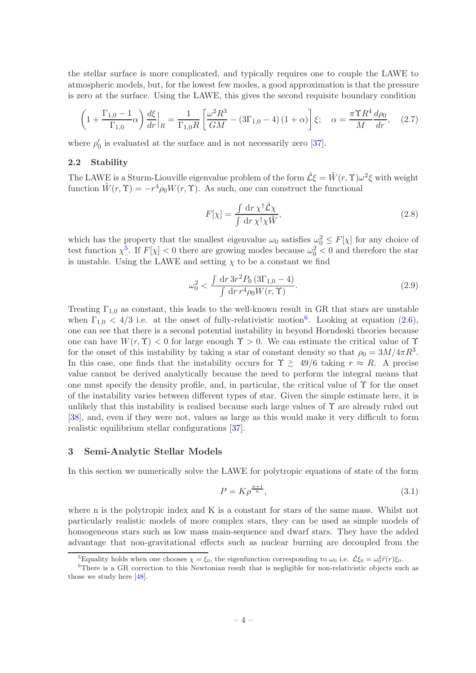the stellar surface is more complicated, and typically requires one to couple the LAWE to atmospheric models, but, for the lowest few modes, a good approximation is that the pressure is zero at the surface. Using the LAWE, this gives the second requisite boundary condition

$$
\left(1 + \frac{\Gamma_{1,0} - 1}{\Gamma_{1,0}}\alpha\right)\frac{d\xi}{dr}\Big|_{R} = \frac{1}{\Gamma_{1,0}R} \left[\frac{\omega^2 R^3}{GM} - (3\Gamma_{1,0} - 4)(1+\alpha)\right] \xi; \quad \alpha = \frac{\pi \Upsilon R^4}{M} \frac{d\rho_0}{dr}, \quad (2.7)
$$

<span id="page-4-0"></span>where  $\rho'_0$  is evaluated at the surface and is not necessarily zero [\[37](#page-15-14)].

#### 2.2 Stability

The LAWE is a Sturm-Liouville eigenvalue problem of the form  $\hat{\mathcal{L}}\xi = \tilde{W}(r, \Upsilon)\omega^2 \xi$  with weight function  $\tilde{W}(r, \Upsilon) = -r^4 \rho_0 W(r, \Upsilon)$ . As such, one can construct the functional

$$
F[\chi] = \frac{\int \mathrm{d}r \,\chi^{\dagger} \hat{\mathcal{L}} \chi}{\int \mathrm{d}r \,\chi^{\dagger} \chi \tilde{W}},\tag{2.8}
$$

which has the property that the smallest eigenvalue  $\omega_0$  satisfies  $\omega_0^2 \leq F[\chi]$  for any choice of test function  $\chi^5$  $\chi^5$ . If  $F[\chi] < 0$  there are growing modes because  $\omega_0^2 < 0$  and therefore the star is unstable. Using the LAWE and setting  $\chi$  to be a constant we find

$$
\omega_0^2 < \frac{\int \, \mathrm{d}r \, 3r^2 P_0 \, (3\Gamma_{1,0} - 4)}{\int \, \mathrm{d}r \, r^4 \rho_0 W(r, \Upsilon)}.\tag{2.9}
$$

Treating  $\Gamma_{1,0}$  as constant, this leads to the well-known result in GR that stars are unstable when  $\Gamma_{1,0} < 4/3$  i.e. at the onset of fully-relativistic motion<sup>[6](#page-4-3)</sup>. Looking at equation [\(2.6\)](#page-3-5), one can see that there is a second potential instability in beyond Horndeski theories because one can have  $W(r, \Upsilon) < 0$  for large enough  $\Upsilon > 0$ . We can estimate the critical value of  $\Upsilon$ for the onset of this instability by taking a star of constant density so that  $\rho_0 = 3M/4\pi R^3$ . In this case, one finds that the instability occurs for  $\Upsilon \geq 49/6$  taking  $r \approx R$ . A precise value cannot be derived analytically because the need to perform the integral means that one must specify the density profile, and, in particular, the critical value of  $\Upsilon$  for the onset of the instability varies between different types of star. Given the simple estimate here, it is unlikely that this instability is realised because such large values of  $\Upsilon$  are already ruled out [\[38\]](#page-15-16), and, even if they were not, values as large as this would make it very difficult to form realistic equilibrium stellar configurations [\[37\]](#page-15-14).

#### <span id="page-4-1"></span>3 Semi-Analytic Stellar Models

In this section we numerically solve the LAWE for polytropic equations of state of the form

$$
P = K \rho^{\frac{n+1}{n}},\tag{3.1}
$$

where n is the polytropic index and K is a constant for stars of the same mass. Whilst not particularly realistic models of more complex stars, they can be used as simple models of homogeneous stars such as low mass main-sequence and dwarf stars. They have the added advantage that non-gravitational effects such as nuclear burning are decoupled from the

<span id="page-4-2"></span><sup>&</sup>lt;sup>5</sup>Equality holds when one chooses  $\chi = \xi_0$ , the eigenfunction corresponding to  $\omega_0$  i.e.  $\hat{\mathcal{L}} \xi_0 = \omega_0^2 \tilde{r}(r) \xi_0$ .

<span id="page-4-3"></span><sup>&</sup>lt;sup>6</sup>There is a GR correction to this Newtonian result that is negligible for non-relativistic objects such as those we study here [\[48\]](#page-16-2).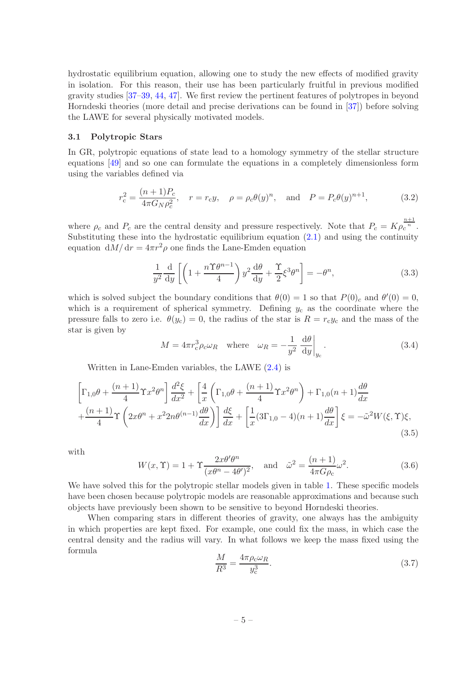hydrostatic equilibrium equation, allowing one to study the new effects of modified gravity in isolation. For this reason, their use has been particularly fruitful in previous modified gravity studies [\[37](#page-15-14)[–39](#page-15-22), [44,](#page-15-20) [47\]](#page-16-1). We first review the pertinent features of polytropes in beyond Horndeski theories (more detail and precise derivations can be found in [\[37](#page-15-14)]) before solving the LAWE for several physically motivated models.

#### <span id="page-5-0"></span>3.1 Polytropic Stars

In GR, polytropic equations of state lead to a homology symmetry of the stellar structure equations [\[49](#page-16-3)] and so one can formulate the equations in a completely dimensionless form using the variables defined via

$$
r_{\rm c}^2 = \frac{(n+1)P_c}{4\pi G_N \rho_c^2}, \quad r = r_{\rm c}y, \quad \rho = \rho_c \theta(y)^n, \quad \text{and} \quad P = P_c \theta(y)^{n+1}, \tag{3.2}
$$

where  $\rho_c$  and  $P_c$  are the central density and pressure respectively. Note that  $P_c = K \rho_c^{\frac{n+1}{n}}$ . Substituting these into the hydrostatic equilibrium equation [\(2.1\)](#page-2-1) and using the continuity equation  $dM/dr = 4\pi r^2 \rho$  one finds the Lane-Emden equation

$$
\frac{1}{y^2} \frac{d}{dy} \left[ \left( 1 + \frac{n \Upsilon \theta^{n-1}}{4} \right) y^2 \frac{d\theta}{dy} + \frac{\Upsilon}{2} \xi^3 \theta^n \right] = -\theta^n, \tag{3.3}
$$

which is solved subject the boundary conditions that  $\theta(0) = 1$  so that  $P(0)_c$  and  $\theta'(0) = 0$ , which is a requirement of spherical symmetry. Defining  $y_c$  as the coordinate where the pressure falls to zero i.e.  $\theta(y_c) = 0$ , the radius of the star is  $R = r_c y_c$  and the mass of the star is given by

$$
M = 4\pi r_{\rm c}^3 \rho_{\rm c} \omega_R \quad \text{where} \quad \omega_R = -\frac{1}{y^2} \left. \frac{\mathrm{d}\theta}{\mathrm{d}y} \right|_{y_{\rm c}}. \tag{3.4}
$$

Written in Lane-Emden variables, the LAWE [\(2.4\)](#page-3-3) is

$$
\left[\Gamma_{1,0}\theta + \frac{(n+1)}{4}\Upsilon x^2 \theta^n\right] \frac{d^2\xi}{dx^2} + \left[\frac{4}{x}\left(\Gamma_{1,0}\theta + \frac{(n+1)}{4}\Upsilon x^2 \theta^n\right) + \Gamma_{1,0}(n+1)\frac{d\theta}{dx}\right] + \frac{(n+1)}{4}\Upsilon\left(2x\theta^n + x^2 2n\theta^{(n-1)}\frac{d\theta}{dx}\right)\right] \frac{d\xi}{dx} + \left[\frac{1}{x}(3\Gamma_{1,0} - 4)(n+1)\frac{d\theta}{dx}\right]\xi = -\tilde{\omega}^2 W(\xi, \Upsilon)\xi,
$$
\n(3.5)

with

<span id="page-5-2"></span>
$$
W(x,\Upsilon) = 1 + \Upsilon \frac{2x\theta'\theta^n}{(x\theta^n - 4\theta')^2}, \quad \text{and} \quad \tilde{\omega}^2 = \frac{(n+1)}{4\pi G\rho_c}\omega^2.
$$
 (3.6)

We have solved this for the polytropic stellar models given in table [1.](#page-6-1) These specific models have been chosen because polytropic models are reasonable approximations and because such objects have previously been shown to be sensitive to beyond Horndeski theories.

When comparing stars in different theories of gravity, one always has the ambiguity in which properties are kept fixed. For example, one could fix the mass, in which case the central density and the radius will vary. In what follows we keep the mass fixed using the formula

<span id="page-5-1"></span>
$$
\frac{M}{R^3} = \frac{4\pi\rho_c\omega_R}{y_c^3}.
$$
\n(3.7)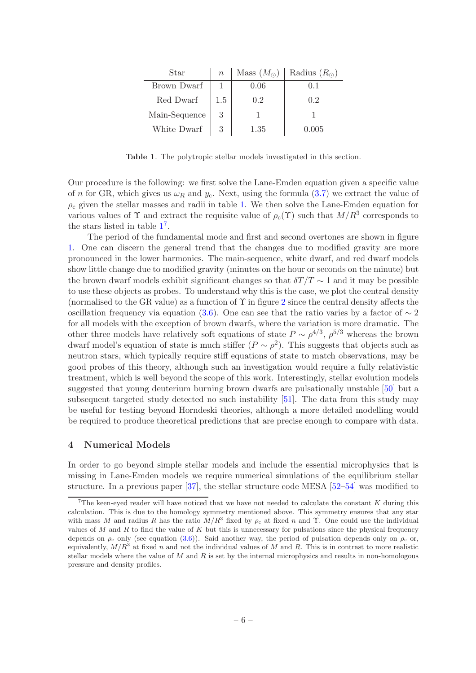| Star          | $\boldsymbol{n}$ |      | Mass $(M_{\odot})$ Radius $(R_{\odot})$ |
|---------------|------------------|------|-----------------------------------------|
| Brown Dwarf   |                  | 0.06 |                                         |
| Red Dwarf     | 1.5              | 0.2  | 0.2                                     |
| Main-Sequence |                  |      |                                         |
| White Dwarf   | 3                | 1.35 | 0.005                                   |

<span id="page-6-1"></span>Table 1. The polytropic stellar models investigated in this section.

Our procedure is the following: we first solve the Lane-Emden equation given a specific value of n for GR, which gives us  $\omega_R$  and  $y_c$ . Next, using the formula [\(3.7\)](#page-5-1) we extract the value of  $\rho_c$  given the stellar masses and radii in table [1.](#page-6-1) We then solve the Lane-Emden equation for various values of  $\Upsilon$  and extract the requisite value of  $\rho_c(\Upsilon)$  such that  $M/R^3$  corresponds to the stars listed in table  $1^7$  $1^7$  $1^7$ .

The period of the fundamental mode and first and second overtones are shown in figure [1.](#page-7-0) One can discern the general trend that the changes due to modified gravity are more pronounced in the lower harmonics. The main-sequence, white dwarf, and red dwarf models show little change due to modified gravity (minutes on the hour or seconds on the minute) but the brown dwarf models exhibit significant changes so that  $\delta T/T \sim 1$  and it may be possible to use these objects as probes. To understand why this is the case, we plot the central density (normalised to the GR value) as a function of  $\Upsilon$  in figure [2](#page-8-0) since the central density affects the oscillation frequency via equation [\(3.6\)](#page-5-2). One can see that the ratio varies by a factor of  $\sim 2$ for all models with the exception of brown dwarfs, where the variation is more dramatic. The other three models have relatively soft equations of state  $P \sim \rho^{4/3}$ ,  $\rho^{5/3}$  whereas the brown dwarf model's equation of state is much stiffer  $(P \sim \rho^2)$ . This suggests that objects such as neutron stars, which typically require stiff equations of state to match observations, may be good probes of this theory, although such an investigation would require a fully relativistic treatment, which is well beyond the scope of this work. Interestingly, stellar evolution models suggested that young deuterium burning brown dwarfs are pulsationally unstable [\[50](#page-16-4)] but a subsequent targeted study detected no such instability [\[51](#page-16-5)]. The data from this study may be useful for testing beyond Horndeski theories, although a more detailed modelling would be required to produce theoretical predictions that are precise enough to compare with data.

#### <span id="page-6-0"></span>4 Numerical Models

In order to go beyond simple stellar models and include the essential microphysics that is missing in Lane-Emden models we require numerical simulations of the equilibrium stellar structure. In a previous paper [\[37](#page-15-14)], the stellar structure code MESA [\[52](#page-16-6)[–54](#page-16-7)] was modified to

<span id="page-6-2"></span><sup>&</sup>lt;sup>7</sup>The keen-eyed reader will have noticed that we have not needed to calculate the constant  $K$  during this calculation. This is due to the homology symmetry mentioned above. This symmetry ensures that any star with mass M and radius R has the ratio  $M/R^3$  fixed by  $\rho_c$  at fixed n and Y. One could use the individual values of M and R to find the value of K but this is unnecessary for pulsations since the physical frequency depends on  $\rho_c$  only (see equation [\(3.6\)](#page-5-2)). Said another way, the period of pulsation depends only on  $\rho_c$  or, equivalently,  $M/R<sup>3</sup>$  at fixed n and not the individual values of M and R. This is in contrast to more realistic stellar models where the value of  $M$  and  $R$  is set by the internal microphysics and results in non-homologous pressure and density profiles.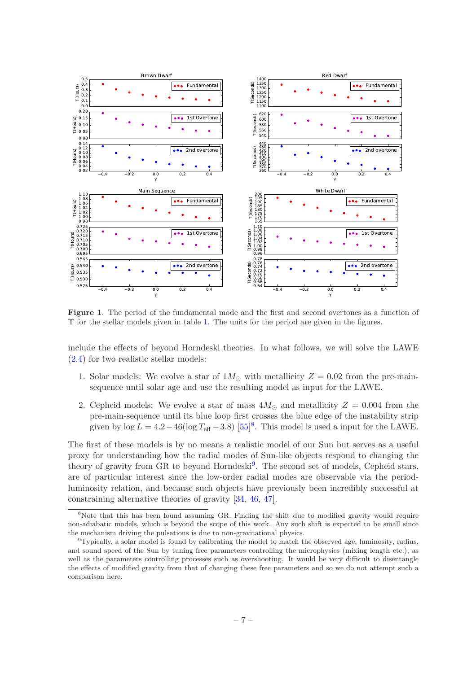

<span id="page-7-0"></span>Figure 1. The period of the fundamental mode and the first and second overtones as a function of Υ for the stellar models given in table [1.](#page-6-1) The units for the period are given in the figures.

include the effects of beyond Horndeski theories. In what follows, we will solve the LAWE [\(2.4\)](#page-3-3) for two realistic stellar models:

- 1. Solar models: We evolve a star of  $1M_{\odot}$  with metallicity  $Z = 0.02$  from the pre-mainsequence until solar age and use the resulting model as input for the LAWE.
- 2. Cepheid models: We evolve a star of mass  $4M_{\odot}$  and metallicity  $Z = 0.004$  from the pre-main-sequence until its blue loop first crosses the blue edge of the instability strip given by  $\log L = 4.2 - 46(\log T_{\text{eff}} - 3.8)$  $\log L = 4.2 - 46(\log T_{\text{eff}} - 3.8)$  $\log L = 4.2 - 46(\log T_{\text{eff}} - 3.8)$  [\[55](#page-16-8)]<sup>8</sup>. This model is used a input for the LAWE.

The first of these models is by no means a realistic model of our Sun but serves as a useful proxy for understanding how the radial modes of Sun-like objects respond to changing the theory of gravity from GR to beyond Horndeski<sup>[9](#page-7-2)</sup>. The second set of models, Cepheid stars, are of particular interest since the low-order radial modes are observable via the periodluminosity relation, and because such objects have previously been incredibly successful at constraining alternative theories of gravity [\[34](#page-15-9), [46](#page-16-0), [47\]](#page-16-1).

<span id="page-7-1"></span><sup>&</sup>lt;sup>8</sup>Note that this has been found assuming GR. Finding the shift due to modified gravity would require non-adiabatic models, which is beyond the scope of this work. Any such shift is expected to be small since the mechanism driving the pulsations is due to non-gravitational physics.

<span id="page-7-2"></span> $9$ Typically, a solar model is found by calibrating the model to match the observed age, luminosity, radius, and sound speed of the Sun by tuning free parameters controlling the microphysics (mixing length etc.), as well as the parameters controlling processes such as overshooting. It would be very difficult to disentangle the effects of modified gravity from that of changing these free parameters and so we do not attempt such a comparison here.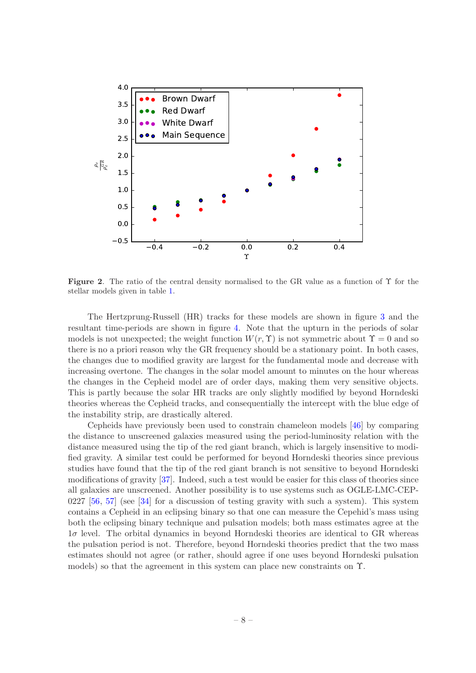

<span id="page-8-0"></span>Figure 2. The ratio of the central density normalised to the GR value as a function of Υ for the stellar models given in table [1.](#page-6-1)

The Hertzprung-Russell (HR) tracks for these models are shown in figure [3](#page-9-1) and the resultant time-periods are shown in figure [4.](#page-9-2) Note that the upturn in the periods of solar models is not unexpected; the weight function  $W(r, \Upsilon)$  is not symmetric about  $\Upsilon = 0$  and so there is no a priori reason why the GR frequency should be a stationary point. In both cases, the changes due to modified gravity are largest for the fundamental mode and decrease with increasing overtone. The changes in the solar model amount to minutes on the hour whereas the changes in the Cepheid model are of order days, making them very sensitive objects. This is partly because the solar HR tracks are only slightly modified by beyond Horndeski theories whereas the Cepheid tracks, and consequentially the intercept with the blue edge of the instability strip, are drastically altered.

Cepheids have previously been used to constrain chameleon models [\[46](#page-16-0)] by comparing the distance to unscreened galaxies measured using the period-luminosity relation with the distance measured using the tip of the red giant branch, which is largely insensitive to modified gravity. A similar test could be performed for beyond Horndeski theories since previous studies have found that the tip of the red giant branch is not sensitive to beyond Horndeski modifications of gravity [\[37\]](#page-15-14). Indeed, such a test would be easier for this class of theories since all galaxies are unscreened. Another possibility is to use systems such as OGLE-LMC-CEP-0227  $[56, 57]$  $[56, 57]$  (see  $[34]$  for a discussion of testing gravity with such a system). This system contains a Cepheid in an eclipsing binary so that one can measure the Cepehid's mass using both the eclipsing binary technique and pulsation models; both mass estimates agree at the  $1\sigma$  level. The orbital dynamics in beyond Horndeski theories are identical to GR whereas the pulsation period is not. Therefore, beyond Horndeski theories predict that the two mass estimates should not agree (or rather, should agree if one uses beyond Horndeski pulsation models) so that the agreement in this system can place new constraints on Υ.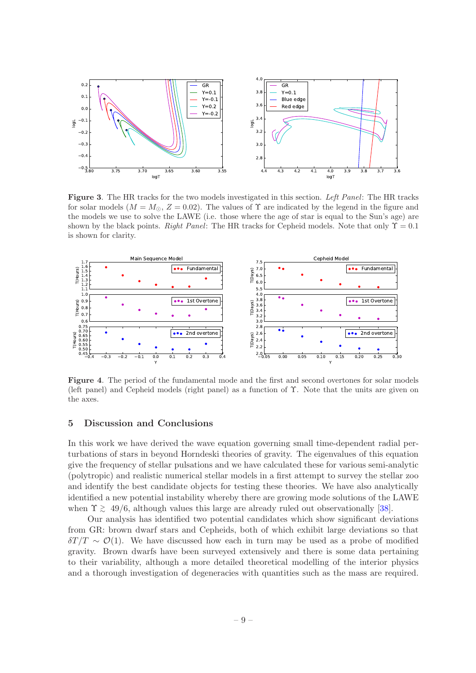

<span id="page-9-1"></span>Figure 3. The HR tracks for the two models investigated in this section. Left Panel: The HR tracks for solar models  $(M = M_{\odot}, Z = 0.02)$ . The values of  $\Upsilon$  are indicated by the legend in the figure and the models we use to solve the LAWE (i.e. those where the age of star is equal to the Sun's age) are shown by the black points. Right Panel: The HR tracks for Cepheid models. Note that only  $\Upsilon = 0.1$ is shown for clarity.



<span id="page-9-2"></span>Figure 4. The period of the fundamental mode and the first and second overtones for solar models (left panel) and Cepheid models (right panel) as a function of Υ. Note that the units are given on the axes.

#### <span id="page-9-0"></span>5 Discussion and Conclusions

In this work we have derived the wave equation governing small time-dependent radial perturbations of stars in beyond Horndeski theories of gravity. The eigenvalues of this equation give the frequency of stellar pulsations and we have calculated these for various semi-analytic (polytropic) and realistic numerical stellar models in a first attempt to survey the stellar zoo and identify the best candidate objects for testing these theories. We have also analytically identified a new potential instability whereby there are growing mode solutions of the LAWE when  $\Upsilon \gtrsim 49/6$ , although values this large are already ruled out observationally [\[38\]](#page-15-16).

Our analysis has identified two potential candidates which show significant deviations from GR: brown dwarf stars and Cepheids, both of which exhibit large deviations so that  $\delta T/T \sim \mathcal{O}(1)$ . We have discussed how each in turn may be used as a probe of modified gravity. Brown dwarfs have been surveyed extensively and there is some data pertaining to their variability, although a more detailed theoretical modelling of the interior physics and a thorough investigation of degeneracies with quantities such as the mass are required.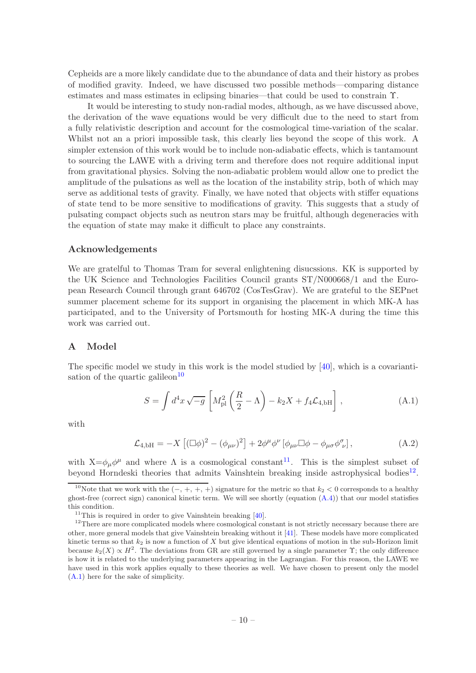Cepheids are a more likely candidate due to the abundance of data and their history as probes of modified gravity. Indeed, we have discussed two possible methods—comparing distance estimates and mass estimates in eclipsing binaries—that could be used to constrain Υ.

It would be interesting to study non-radial modes, although, as we have discussed above, the derivation of the wave equations would be very difficult due to the need to start from a fully relativistic description and account for the cosmological time-variation of the scalar. Whilst not an a priori impossible task, this clearly lies beyond the scope of this work. A simpler extension of this work would be to include non-adiabatic effects, which is tantamount to sourcing the LAWE with a driving term and therefore does not require additional input from gravitational physics. Solving the non-adiabatic problem would allow one to predict the amplitude of the pulsations as well as the location of the instability strip, both of which may serve as additional tests of gravity. Finally, we have noted that objects with stiffer equations of state tend to be more sensitive to modifications of gravity. This suggests that a study of pulsating compact objects such as neutron stars may be fruitful, although degeneracies with the equation of state may make it difficult to place any constraints.

#### Acknowledgements

We are gratelful to Thomas Tram for several enlightening disucssions. KK is supported by the UK Science and Technologies Facilities Council grants ST/N000668/1 and the European Research Council through grant 646702 (CosTesGrav). We are grateful to the SEPnet summer placement scheme for its support in organising the placement in which MK-A has participated, and to the University of Portsmouth for hosting MK-A during the time this work was carried out.

#### <span id="page-10-0"></span>A Model

The specific model we study in this work is the model studied by [\[40\]](#page-15-19), which is a covarianti-sation of the quartic galileon<sup>[10](#page-10-1)</sup>

<span id="page-10-4"></span>
$$
S = \int d^4x \sqrt{-g} \left[ M_{\rm pl}^2 \left( \frac{R}{2} - \Lambda \right) - k_2 X + f_4 \mathcal{L}_{4, bH} \right], \qquad (A.1)
$$

with

$$
\mathcal{L}_{4,\text{bH}} = -X \left[ (\Box \phi)^2 - (\phi_{\mu\nu})^2 \right] + 2\phi^{\mu}\phi^{\nu} \left[ \phi_{\mu\nu} \Box \phi - \phi_{\mu\sigma} \phi^{\sigma}_{\nu} \right], \tag{A.2}
$$

with  $X = \phi_{\mu} \phi^{\mu}$  and where  $\Lambda$  is a cosmological constant<sup>[11](#page-10-2)</sup>. This is the simplest subset of beyond Horndeski theories that admits Vainshtein breaking inside astrophysical bodies<sup>[12](#page-10-3)</sup>.

<span id="page-10-1"></span><sup>&</sup>lt;sup>10</sup>Note that we work with the  $(-, +, +, +)$  signature for the metric so that  $k_2 < 0$  corresponds to a healthy ghost-free (correct sign) canonical kinetic term. We will see shortly (equation [\(A.4\)](#page-11-1)) that our model statisfies this condition.

<span id="page-10-2"></span> $11$ This is required in order to give Vainshtein breaking  $[40]$ .

<span id="page-10-3"></span><sup>&</sup>lt;sup>12</sup>There are more complicated models where cosmological constant is not strictly necessary because there are other, more general models that give Vainshtein breaking without it [\[41](#page-15-15)]. These models have more complicated kinetic terms so that  $k_2$  is now a function of X but give identical equations of motion in the sub-Horizon limit because  $k_2(X) \propto H^2$ . The deviations from GR are still governed by a single parameter  $\Upsilon$ ; the only difference is how it is related to the underlying parameters appearing in the Lagrangian. For this reason, the LAWE we have used in this work applies equally to these theories as well. We have chosen to present only the model [\(A.1\)](#page-10-4) here for the sake of simplicity.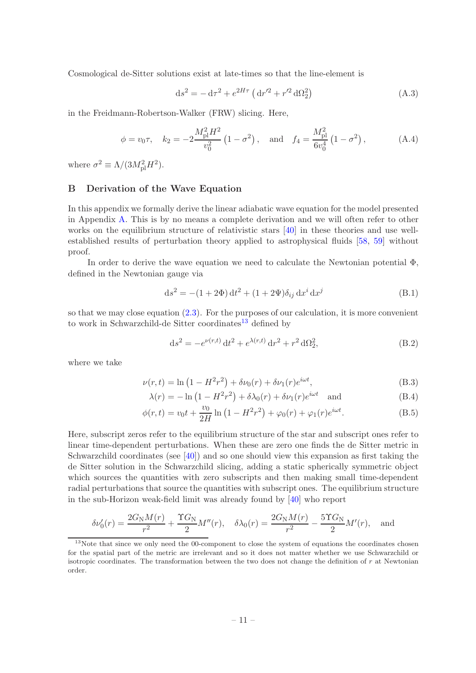Cosmological de-Sitter solutions exist at late-times so that the line-element is

$$
ds^{2} = -d\tau^{2} + e^{2H\tau} (dr'^{2} + r'^{2} d\Omega_{2}^{2})
$$
 (A.3)

in the Freidmann-Robertson-Walker (FRW) slicing. Here,

<span id="page-11-1"></span>
$$
\phi = v_0 \tau
$$
,  $k_2 = -2 \frac{M_{\text{pl}}^2 H^2}{v_0^2} \left(1 - \sigma^2\right)$ , and  $f_4 = \frac{M_{\text{pl}}^2}{6v_0^4} \left(1 - \sigma^2\right)$ , (A.4)

where  $\sigma^2 \equiv \Lambda/(3M_{\rm pl}^2 H^2)$ .

## <span id="page-11-0"></span>B Derivation of the Wave Equation

In this appendix we formally derive the linear adiabatic wave equation for the model presented in Appendix [A.](#page-10-0) This is by no means a complete derivation and we will often refer to other works on the equilibrium structure of relativistic stars [\[40\]](#page-15-19) in these theories and use wellestablished results of perturbation theory applied to astrophysical fluids [\[58](#page-16-11), [59](#page-16-12)] without proof.

In order to derive the wave equation we need to calculate the Newtonian potential  $\Phi$ , defined in the Newtonian gauge via

$$
ds^{2} = -(1+2\Phi) dt^{2} + (1+2\Psi)\delta_{ij} dx^{i} dx^{j}
$$
 (B.1)

so that we may close equation [\(2.3\)](#page-3-2). For the purposes of our calculation, it is more convenient to work in Schwarzchild-de Sitter coordinates<sup>[13](#page-11-2)</sup> defined by

$$
ds^{2} = -e^{\nu(r,t)} dt^{2} + e^{\lambda(r,t)} dr^{2} + r^{2} d\Omega_{2}^{2},
$$
\n(B.2)

where we take

$$
\nu(r,t) = \ln(1 - H^2 r^2) + \delta \nu_0(r) + \delta \nu_1(r) e^{i\omega t},
$$
\n(B.3)

$$
\lambda(r) = -\ln\left(1 - H^2 r^2\right) + \delta\lambda_0(r) + \delta\nu_1(r)e^{i\omega t} \quad \text{and} \tag{B.4}
$$

$$
\phi(r,t) = v_0 t + \frac{v_0}{2H} \ln(1 - H^2 r^2) + \varphi_0(r) + \varphi_1(r)e^{i\omega t}.
$$
 (B.5)

Here, subscript zeros refer to the equilibrium structure of the star and subscript ones refer to linear time-dependent perturbations. When these are zero one finds the de Sitter metric in Schwarzchild coordinates (see [\[40](#page-15-19)]) and so one should view this expansion as first taking the de Sitter solution in the Schwarzchild slicing, adding a static spherically symmetric object which sources the quantities with zero subscripts and then making small time-dependent radial perturbations that source the quantities with subscript ones. The equilibrium structure in the sub-Horizon weak-field limit was already found by [\[40](#page-15-19)] who report

$$
\delta \nu_0'(r) = \frac{2G_{\rm N}M(r)}{r^2} + \frac{\Upsilon G_{\rm N}}{2}M''(r), \quad \delta \lambda_0(r) = \frac{2G_{\rm N}M(r)}{r^2} - \frac{5\Upsilon G_{\rm N}}{2}M'(r), \quad \text{and}
$$

<span id="page-11-2"></span> $13$ Note that since we only need the 00-component to close the system of equations the coordinates chosen for the spatial part of the metric are irrelevant and so it does not matter whether we use Schwarzchild or isotropic coordinates. The transformation between the two does not change the definition of  $r$  at Newtonian order.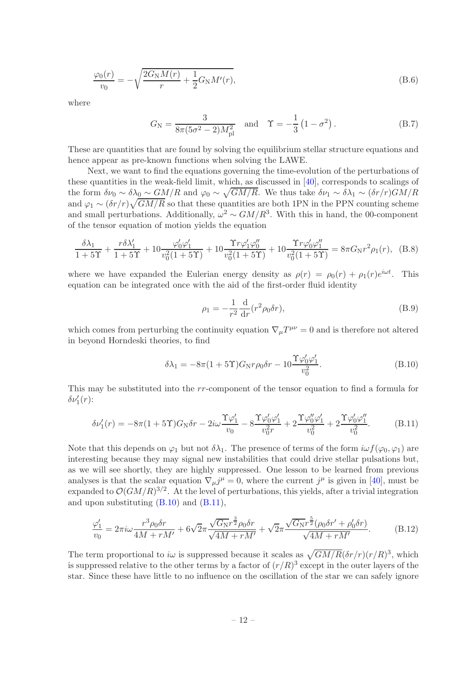$$
\frac{\varphi_0(r)}{v_0} = -\sqrt{\frac{2G_{\rm N}M(r)}{r} + \frac{1}{2}G_{\rm N}M'(r)},
$$
\n(B.6)

where

<span id="page-12-2"></span>
$$
G_{\rm N} = \frac{3}{8\pi (5\sigma^2 - 2)M_{\rm pl}^2} \quad \text{and} \quad \Upsilon = -\frac{1}{3} (1 - \sigma^2) \,. \tag{B.7}
$$

These are quantities that are found by solving the equilibrium stellar structure equations and hence appear as pre-known functions when solving the LAWE.

Next, we want to find the equations governing the time-evolution of the perturbations of these quantities in the weak-field limit, which, as discussed in [\[40\]](#page-15-19), corresponds to scalings of the form  $\delta\nu_0 \sim \delta\lambda_0 \sim GM/R$  and  $\varphi_0 \sim \sqrt{GM/R}$ . We thus take  $\delta\nu_1 \sim \delta\lambda_1 \sim (\delta r/r)GM/R$ and  $\varphi_1 \sim (\delta r/r) \sqrt{GM/R}$  so that these quantities are both 1PN in the PPN counting scheme and small perturbations. Additionally,  $\omega^2 \sim GM/R^3$ . With this in hand, the 00-component of the tensor equation of motion yields the equation

$$
\frac{\delta\lambda_1}{1+5\Upsilon} + \frac{r\delta\lambda_1'}{1+5\Upsilon} + 10\frac{\varphi_0'\varphi_1'}{v_0^2(1+5\Upsilon)} + 10\frac{\Upsilon r\varphi_1'\varphi_0''}{v_0^2(1+5\Upsilon)} + 10\frac{\Upsilon r\varphi_0'\varphi_1''}{v_0^2(1+5\Upsilon)} = 8\pi G_N r^2 \rho_1(r), \quad (B.8)
$$

where we have expanded the Eulerian energy density as  $\rho(r) = \rho_0(r) + \rho_1(r)e^{i\omega t}$ . This equation can be integrated once with the aid of the first-order fluid identity

<span id="page-12-3"></span>
$$
\rho_1 = -\frac{1}{r^2} \frac{\mathrm{d}}{\mathrm{d}r} (r^2 \rho_0 \delta r),\tag{B.9}
$$

which comes from perturbing the continuity equation  $\nabla_{\mu}T^{\mu\nu} = 0$  and is therefore not altered in beyond Horndeski theories, to find

<span id="page-12-0"></span>
$$
\delta\lambda_1 = -8\pi (1+5\Upsilon) G_N r \rho_0 \delta r - 10 \frac{\Upsilon \varphi'_0 \varphi'_1}{v_0^2}.
$$
\n(B.10)

This may be substituted into the rr-component of the tensor equation to find a formula for  $\delta\nu'_{1}(r)$ :

<span id="page-12-1"></span>
$$
\delta\nu'_1(r) = -8\pi (1+5\Upsilon) G_N \delta r - 2i\omega \frac{\Upsilon \varphi'_1}{v_0} - 8 \frac{\Upsilon \varphi'_0 \varphi'_1}{v_0^2 r} + 2 \frac{\Upsilon \varphi''_0 \varphi'_1}{v_0^2} + 2 \frac{\Upsilon \varphi'_0 \varphi''_1}{v_0^2}.
$$
 (B.11)

Note that this depends on  $\varphi_1$  but not  $\delta\lambda_1$ . The presence of terms of the form  $i\omega f(\varphi_0, \varphi_1)$  are interesting because they may signal new instabilities that could drive stellar pulsations but, as we will see shortly, they are highly suppressed. One lesson to be learned from previous analyses is that the scalar equation  $\nabla_{\mu} j^{\mu} = 0$ , where the current  $j^{\mu}$  is given in [\[40](#page-15-19)], must be expanded to  $\mathcal{O}(GM/R)^{3/2}$ . At the level of perturbations, this yields, after a trivial integration and upon substituting  $(B.10)$  and  $(B.11)$ ,

$$
\frac{\varphi_1'}{v_0} = 2\pi i \omega \frac{r^3 \rho_0 \delta r}{4M + rM'} + 6\sqrt{2}\pi \frac{\sqrt{G_N} r^{\frac{3}{2}} \rho_0 \delta r}{\sqrt{4M + rM'}} + \sqrt{2}\pi \frac{\sqrt{G_N} r^{\frac{5}{2}} (\rho_0 \delta r' + \rho_0' \delta r)}{\sqrt{4M + rM'}}.
$$
(B.12)

The term proportional to iw is suppressed because it scales as  $\sqrt{GM/R}(\delta r/r)(r/R)^3$ , which is suppressed relative to the other terms by a factor of  $(r/R)^3$  except in the outer layers of the star. Since these have little to no influence on the oscillation of the star we can safely ignore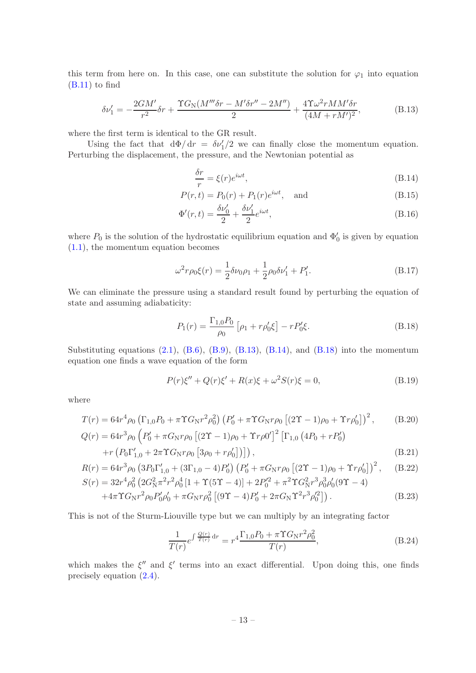this term from here on. In this case, one can substitute the solution for  $\varphi_1$  into equation  $(B.11)$  to find

$$
\delta\nu'_{1} = -\frac{2GM'}{r^2}\delta r + \frac{\Upsilon G_{\rm N}(M'''\delta r - M'\delta r'' - 2M'')}{2} + \frac{4\Upsilon\omega^2 r M M'\delta r}{(4M + rM')^2},\tag{B.13}
$$

where the first term is identical to the GR result.

Using the fact that  $d\Phi/dr = \delta \nu'_1/2$  we can finally close the momentum equation. Perturbing the displacement, the pressure, and the Newtonian potential as

<span id="page-13-1"></span><span id="page-13-0"></span>
$$
\frac{\delta r}{r} = \xi(r)e^{i\omega t},\tag{B.14}
$$

$$
P(r,t) = P_0(r) + P_1(r)e^{i\omega t}, \text{ and} \t\t (B.15)
$$

$$
\Phi'(r,t) = \frac{\delta\nu'_0}{2} + \frac{\delta\nu'_1}{2}e^{i\omega t},\tag{B.16}
$$

where  $P_0$  is the solution of the hydrostatic equilibrium equation and  $\Phi'_0$  is given by equation [\(1.1\)](#page-2-2), the momentum equation becomes

$$
\omega^2 r \rho_0 \xi(r) = \frac{1}{2} \delta \nu_0 \rho_1 + \frac{1}{2} \rho_0 \delta \nu'_1 + P'_1.
$$
 (B.17)

We can eliminate the pressure using a standard result found by perturbing the equation of state and assuming adiabaticity:

<span id="page-13-2"></span>
$$
P_1(r) = \frac{\Gamma_{1,0} P_0}{\rho_0} \left[ \rho_1 + r \rho_0' \xi \right] - r P_0' \xi. \tag{B.18}
$$

Substituting equations  $(2.1)$ ,  $(B.6)$ ,  $(B.9)$ ,  $(B.13)$ ,  $(B.14)$ , and  $(B.18)$  into the momentum equation one finds a wave equation of the form

$$
P(r)\xi'' + Q(r)\xi' + R(x)\xi + \omega^2 S(r)\xi = 0,
$$
\n(B.19)

where

$$
T(r) = 64r^{4}\rho_{0} \left(\Gamma_{1,0}P_{0} + \pi\Upsilon G_{\rm N}r^{2}\rho_{0}^{2}\right) \left(P_{0}^{\prime} + \pi\Upsilon G_{\rm N}r\rho_{0} \left[(2\Upsilon - 1)\rho_{0} + \Upsilon r\rho_{0}^{\prime}\right]\right)^{2}, \qquad (B.20)
$$
  
\n
$$
Q(r) = 64r^{3}\rho_{0} \left(P_{0}^{\prime} + \pi G_{\rm N}r\rho_{0} \left[(2\Upsilon - 1)\rho_{0} + \Upsilon r\rho_{0}^{2}\right]^{2} \left[\Gamma_{1,0} \left(4P_{0} + rP_{0}^{\prime}\right) + r\left(P_{0}\Gamma_{1,0}^{\prime} + 2\pi\Upsilon G_{\rm N}r\rho_{0} \left[3\rho_{0} + r\rho_{0}^{2}\right]\right)\right], \qquad (B.21)
$$

$$
R(r) = 64r^3 \rho_0 \left(3P_0 \Gamma'_{1,0} + (3\Gamma_{1,0} - 4)P'_0\right) \left(P'_0 + \pi G_N r \rho_0 \left[ (2\Upsilon - 1)\rho_0 + \Upsilon r \rho'_0 \right] \right)^2, \quad (B.22)
$$

$$
S(r) = 32r^4 \rho_0^2 \left( 2G_N^2 \pi^2 r^2 \rho_0^4 \left[ 1 + \Upsilon (5\Upsilon - 4) \right] + 2P_0'^2 + \pi^2 \Upsilon G_N^2 r^3 \rho_0^3 \rho_0' (9\Upsilon - 4) + 4\pi \Upsilon G_N r^2 \rho_0 P_0' \rho_0' + \pi G_N r \rho_0^2 \left[ (9\Upsilon - 4) P_0' + 2\pi G_N \Upsilon^2 r^3 \rho_0'^2 \right] \right). \tag{B.23}
$$

This is not of the Sturm-Liouville type but we can multiply by an integrating factor

$$
\frac{1}{T(r)}e^{\int \frac{Q(r)}{T(r)} dr} = r^4 \frac{\Gamma_{1,0} P_0 + \pi \Upsilon G_N r^2 \rho_0^2}{T(r)},
$$
\n(B.24)

which makes the  $\xi''$  and  $\xi'$  terms into an exact differential. Upon doing this, one finds precisely equation [\(2.4\)](#page-3-3).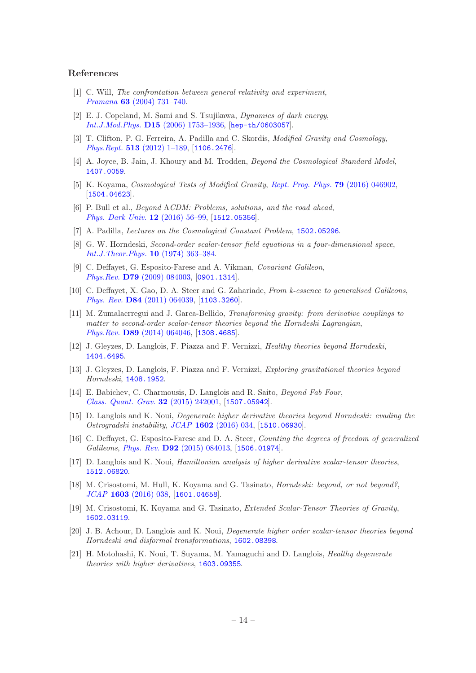#### References

- <span id="page-14-0"></span>[1] C. Will, The confrontation between general relativity and experiment, Pramana 63 [\(2004\) 731–740.](http://dx.doi.org/10.1007/BF02705195)
- <span id="page-14-1"></span>[2] E. J. Copeland, M. Sami and S. Tsujikawa, Dynamics of dark energy, Int.J.Mod.Phys. D15 [\(2006\) 1753–1936,](http://dx.doi.org/10.1142/S021827180600942X) [[hep-th/0603057](http://arxiv.org/abs/hep-th/0603057)].
- <span id="page-14-2"></span>[3] T. Clifton, P. G. Ferreira, A. Padilla and C. Skordis, Modified Gravity and Cosmology, Phys.Rept. 513 [\(2012\) 1–189,](http://dx.doi.org/10.1016/j.physrep.2012.01.001) [[1106.2476](http://arxiv.org/abs/1106.2476)].
- [4] A. Joyce, B. Jain, J. Khoury and M. Trodden, Beyond the Cosmological Standard Model, [1407.0059](http://arxiv.org/abs/1407.0059).
- <span id="page-14-3"></span>[5] K. Koyama, Cosmological Tests of Modified Gravity, [Rept. Prog. Phys.](http://dx.doi.org/10.1088/0034-4885/79/4/046902) 79 (2016) 046902, [[1504.04623](http://arxiv.org/abs/1504.04623)].
- <span id="page-14-6"></span>[6] P. Bull et al., Beyond ΛCDM: Problems, solutions, and the road ahead, [Phys. Dark Univ.](http://dx.doi.org/10.1016/j.dark.2016.02.001) 12 (2016) 56–99, [[1512.05356](http://arxiv.org/abs/1512.05356)].
- <span id="page-14-4"></span>[7] A. Padilla, Lectures on the Cosmological Constant Problem, [1502.05296](http://arxiv.org/abs/1502.05296).
- <span id="page-14-5"></span>[8] G. W. Horndeski, Second-order scalar-tensor field equations in a four-dimensional space, [Int.J.Theor.Phys.](http://dx.doi.org/10.1007/BF01807638) 10 (1974) 363–384.
- [9] C. Deffayet, G. Esposito-Farese and A. Vikman, Covariant Galileon, Phys.Rev. D79 [\(2009\) 084003,](http://dx.doi.org/10.1103/PhysRevD.79.084003) [[0901.1314](http://arxiv.org/abs/0901.1314)].
- [10] C. Deffayet, X. Gao, D. A. Steer and G. Zahariade, From k-essence to generalised Galileons, Phys. Rev. D84 [\(2011\) 064039,](http://dx.doi.org/10.1103/PhysRevD.84.064039) [[1103.3260](http://arxiv.org/abs/1103.3260)].
- [11] M. Zumalacrregui and J. Garca-Bellido, Transforming gravity: from derivative couplings to matter to second-order scalar-tensor theories beyond the Horndeski Lagrangian, Phys.Rev. D89 [\(2014\) 064046,](http://dx.doi.org/10.1103/PhysRevD.89.064046) [[1308.4685](http://arxiv.org/abs/1308.4685)].
- <span id="page-14-7"></span>[12] J. Gleyzes, D. Langlois, F. Piazza and F. Vernizzi, Healthy theories beyond Horndeski, [1404.6495](http://arxiv.org/abs/1404.6495).
- <span id="page-14-8"></span>[13] J. Gleyzes, D. Langlois, F. Piazza and F. Vernizzi, Exploring gravitational theories beyond Horndeski, [1408.1952](http://arxiv.org/abs/1408.1952).
- [14] E. Babichev, C. Charmousis, D. Langlois and R. Saito, *Beyond Fab Four*, [Class. Quant. Grav.](http://dx.doi.org/10.1088/0264-9381/32/24/242001) 32 (2015) 242001, [[1507.05942](http://arxiv.org/abs/1507.05942)].
- [15] D. Langlois and K. Noui, Degenerate higher derivative theories beyond Horndeski: evading the Ostrogradski instability, JCAP 1602 [\(2016\) 034,](http://dx.doi.org/10.1088/1475-7516/2016/02/034) [[1510.06930](http://arxiv.org/abs/1510.06930)].
- [16] C. Deffayet, G. Esposito-Farese and D. A. Steer, Counting the degrees of freedom of generalized Galileons, Phys. Rev. D92 [\(2015\) 084013,](http://dx.doi.org/10.1103/PhysRevD.92.084013) [[1506.01974](http://arxiv.org/abs/1506.01974)].
- [17] D. Langlois and K. Noui, Hamiltonian analysis of higher derivative scalar-tensor theories, [1512.06820](http://arxiv.org/abs/1512.06820).
- [18] M. Crisostomi, M. Hull, K. Koyama and G. Tasinato, Horndeski: beyond, or not beyond?, JCAP 1603 [\(2016\) 038,](http://dx.doi.org/10.1088/1475-7516/2016/03/038) [[1601.04658](http://arxiv.org/abs/1601.04658)].
- [19] M. Crisostomi, K. Koyama and G. Tasinato, Extended Scalar-Tensor Theories of Gravity, [1602.03119](http://arxiv.org/abs/1602.03119).
- [20] J. B. Achour, D. Langlois and K. Noui, Degenerate higher order scalar-tensor theories beyond Horndeski and disformal transformations, [1602.08398](http://arxiv.org/abs/1602.08398).
- [21] H. Motohashi, K. Noui, T. Suyama, M. Yamaguchi and D. Langlois, Healthy degenerate theories with higher derivatives, [1603.09355](http://arxiv.org/abs/1603.09355).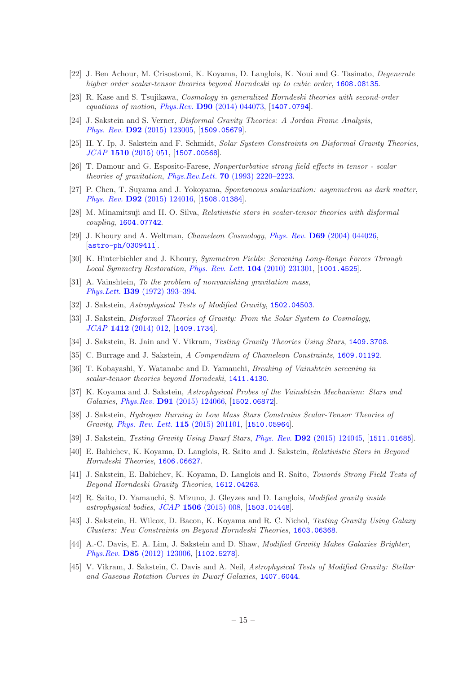- <span id="page-15-0"></span>[22] J. Ben Achour, M. Crisostomi, K. Koyama, D. Langlois, K. Noui and G. Tasinato, Degenerate higher order scalar-tensor theories beyond Horndeski up to cubic order, [1608.08135](http://arxiv.org/abs/1608.08135).
- <span id="page-15-10"></span>[23] R. Kase and S. Tsujikawa, Cosmology in generalized Horndeski theories with second-order equations of motion, *Phys.Rev.* **D90**  $(2014)$  044073, [[1407.0794](http://arxiv.org/abs/1407.0794)].
- <span id="page-15-11"></span>[24] J. Sakstein and S. Verner, Disformal Gravity Theories: A Jordan Frame Analysis, Phys. Rev. D92 [\(2015\) 123005,](http://dx.doi.org/10.1103/PhysRevD.92.123005) [[1509.05679](http://arxiv.org/abs/1509.05679)].
- <span id="page-15-1"></span>[25] H. Y. Ip, J. Sakstein and F. Schmidt, Solar System Constraints on Disformal Gravity Theories, JCAP 1510 [\(2015\) 051,](http://dx.doi.org/10.1088/1475-7516/2015/10/051) [[1507.00568](http://arxiv.org/abs/1507.00568)].
- <span id="page-15-2"></span>[26] T. Damour and G. Esposito-Farese, Nonperturbative strong field effects in tensor - scalar theories of gravitation, Phys.Rev.Lett. **70** [\(1993\) 2220–2223.](http://dx.doi.org/10.1103/PhysRevLett.70.2220)
- [27] P. Chen, T. Suyama and J. Yokoyama, Spontaneous scalarization: asymmetron as dark matter, Phys. Rev. D92 [\(2015\) 124016,](http://dx.doi.org/10.1103/PhysRevD.92.124016) [[1508.01384](http://arxiv.org/abs/1508.01384)].
- <span id="page-15-3"></span>[28] M. Minamitsuji and H. O. Silva, Relativistic stars in scalar-tensor theories with disformal coupling, [1604.07742](http://arxiv.org/abs/1604.07742).
- <span id="page-15-4"></span>[29] J. Khoury and A. Weltman, Chameleon Cosmology, Phys. Rev. D69 [\(2004\) 044026,](http://dx.doi.org/10.1103/PhysRevD.69.044026) [[astro-ph/0309411](http://arxiv.org/abs/astro-ph/0309411)].
- <span id="page-15-5"></span>[30] K. Hinterbichler and J. Khoury, Symmetron Fields: Screening Long-Range Forces Through Local Symmetry Restoration, [Phys. Rev. Lett.](http://dx.doi.org/10.1103/PhysRevLett.104.231301) 104 (2010) 231301, [[1001.4525](http://arxiv.org/abs/1001.4525)].
- <span id="page-15-6"></span>[31] A. Vainshtein, To the problem of nonvanishing gravitation mass, Phys.Lett. B39 [\(1972\) 393–394.](http://dx.doi.org/10.1016/0370-2693(72)90147-5)
- <span id="page-15-7"></span>[32] J. Sakstein, Astrophysical Tests of Modified Gravity, 1502, 04503.
- <span id="page-15-8"></span>[33] J. Sakstein, Disformal Theories of Gravity: From the Solar System to Cosmology, JCAP 1412 [\(2014\) 012,](http://dx.doi.org/10.1088/1475-7516/2014/12/012) [[1409.1734](http://arxiv.org/abs/1409.1734)].
- <span id="page-15-9"></span>[34] J. Sakstein, B. Jain and V. Vikram, Testing Gravity Theories Using Stars, [1409.3708](http://arxiv.org/abs/1409.3708).
- <span id="page-15-12"></span>[35] C. Burrage and J. Sakstein, A Compendium of Chameleon Constraints, [1609.01192](http://arxiv.org/abs/1609.01192).
- <span id="page-15-13"></span>[36] T. Kobayashi, Y. Watanabe and D. Yamauchi, Breaking of Vainshtein screening in scalar-tensor theories beyond Horndeski, [1411.4130](http://arxiv.org/abs/1411.4130).
- <span id="page-15-14"></span>[37] K. Koyama and J. Sakstein, Astrophysical Probes of the Vainshtein Mechanism: Stars and Galaxies, Phys.Rev. D91 [\(2015\) 124066,](http://dx.doi.org/10.1103/PhysRevD.91.124066) [[1502.06872](http://arxiv.org/abs/1502.06872)].
- <span id="page-15-16"></span>[38] J. Sakstein, Hydrogen Burning in Low Mass Stars Constrains Scalar-Tensor Theories of Gravity, [Phys. Rev. Lett.](http://dx.doi.org/10.1103/PhysRevLett.115.201101) 115 (2015) 201101, [[1510.05964](http://arxiv.org/abs/1510.05964)].
- <span id="page-15-22"></span>[39] J. Sakstein, *Testing Gravity Using Dwarf Stars, Phys. Rev.* **D92** [\(2015\) 124045,](http://dx.doi.org/10.1103/PhysRevD.92.124045) [[1511.01685](http://arxiv.org/abs/1511.01685)].
- <span id="page-15-19"></span>[40] E. Babichev, K. Koyama, D. Langlois, R. Saito and J. Sakstein, Relativistic Stars in Beyond Horndeski Theories, [1606.06627](http://arxiv.org/abs/1606.06627).
- <span id="page-15-15"></span>[41] J. Sakstein, E. Babichev, K. Koyama, D. Langlois and R. Saito, Towards Strong Field Tests of Beyond Horndeski Gravity Theories, [1612.04263](http://arxiv.org/abs/1612.04263).
- <span id="page-15-17"></span>[42] R. Saito, D. Yamauchi, S. Mizuno, J. Gleyzes and D. Langlois, Modified gravity inside astrophysical bodies, JCAP 1506 [\(2015\) 008,](http://dx.doi.org/10.1088/1475-7516/2015/06/008) [[1503.01448](http://arxiv.org/abs/1503.01448)].
- <span id="page-15-18"></span>[43] J. Sakstein, H. Wilcox, D. Bacon, K. Koyama and R. C. Nichol, Testing Gravity Using Galaxy Clusters: New Constraints on Beyond Horndeski Theories, [1603.06368](http://arxiv.org/abs/1603.06368).
- <span id="page-15-20"></span>[44] A.-C. Davis, E. A. Lim, J. Sakstein and D. Shaw, Modified Gravity Makes Galaxies Brighter, Phys.Rev. D85 [\(2012\) 123006,](http://dx.doi.org/10.1103/PhysRevD.85.123006) [[1102.5278](http://arxiv.org/abs/1102.5278)].
- <span id="page-15-21"></span>[45] V. Vikram, J. Sakstein, C. Davis and A. Neil, Astrophysical Tests of Modified Gravity: Stellar and Gaseous Rotation Curves in Dwarf Galaxies, [1407.6044](http://arxiv.org/abs/1407.6044).